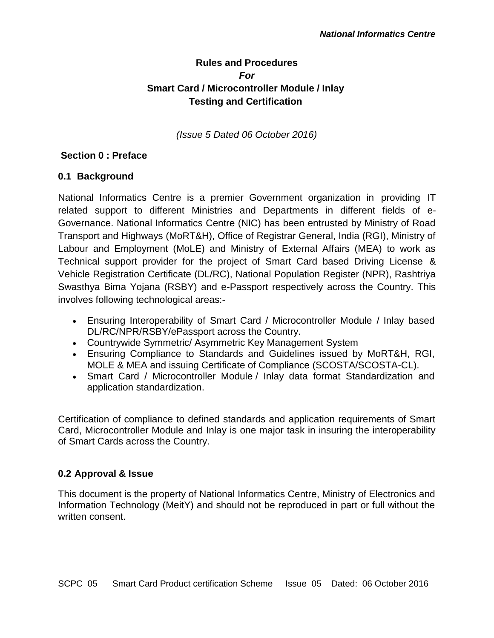# **Rules and Procedures** *For* **Smart Card / Microcontroller Module / Inlay Testing and Certification**

*(Issue 5 Dated 06 October 2016)*

# **Section 0 : Preface**

## **0.1 Background**

National Informatics Centre is a premier Government organization in providing IT related support to different Ministries and Departments in different fields of e-Governance. National Informatics Centre (NIC) has been entrusted by Ministry of Road Transport and Highways (MoRT&H), Office of Registrar General, India (RGI), Ministry of Labour and Employment (MoLE) and Ministry of External Affairs (MEA) to work as Technical support provider for the project of Smart Card based Driving License & Vehicle Registration Certificate (DL/RC), National Population Register (NPR), Rashtriya Swasthya Bima Yojana (RSBY) and e-Passport respectively across the Country. This involves following technological areas:-

- Ensuring Interoperability of Smart Card / Microcontroller Module / Inlay based DL/RC/NPR/RSBY/ePassport across the Country.
- Countrywide Symmetric/ Asymmetric Key Management System
- Ensuring Compliance to Standards and Guidelines issued by MoRT&H, RGI, MOLE & MEA and issuing Certificate of Compliance (SCOSTA/SCOSTA-CL).
- Smart Card / Microcontroller Module / Inlay data format Standardization and application standardization.

Certification of compliance to defined standards and application requirements of Smart Card, Microcontroller Module and Inlay is one major task in insuring the interoperability of Smart Cards across the Country.

## **0.2 Approval & Issue**

This document is the property of National Informatics Centre, Ministry of Electronics and Information Technology (MeitY) and should not be reproduced in part or full without the written consent.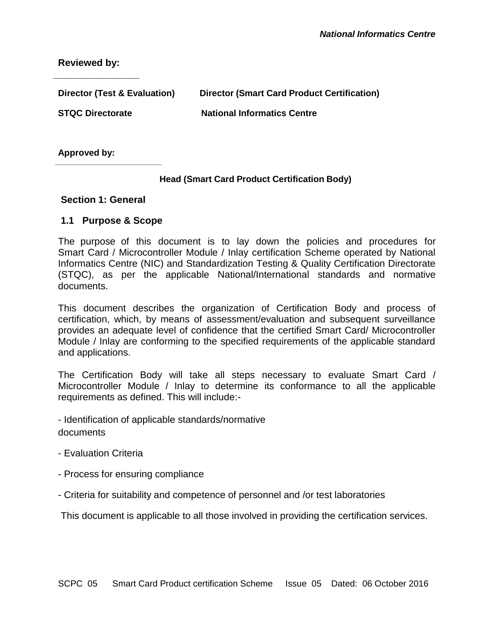**Reviewed by:**

**\_\_\_\_\_\_\_\_\_\_\_\_\_\_\_\_**

| Director (Test & Evaluation) | <b>Director (Smart Card Product Certification)</b> |
|------------------------------|----------------------------------------------------|
| <b>STQC Directorate</b>      | <b>National Informatics Centre</b>                 |
|                              |                                                    |

**Approved by:**

#### **Head (Smart Card Product Certification Body)**

#### **Section 1: General**

**\_\_\_\_\_\_\_\_\_\_\_\_\_\_\_\_\_\_\_\_\_\_\_\_\_\_\_\_**

#### **1.1 Purpose & Scope**

The purpose of this document is to lay down the policies and procedures for Smart Card / Microcontroller Module / Inlay certification Scheme operated by National Informatics Centre (NIC) and Standardization Testing & Quality Certification Directorate (STQC), as per the applicable National/International standards and normative documents.

This document describes the organization of Certification Body and process of certification, which, by means of assessment/evaluation and subsequent surveillance provides an adequate level of confidence that the certified Smart Card/ Microcontroller Module / Inlay are conforming to the specified requirements of the applicable standard and applications.

The Certification Body will take all steps necessary to evaluate Smart Card / Microcontroller Module / Inlay to determine its conformance to all the applicable requirements as defined. This will include:-

- Identification of applicable standards/normative documents

- Evaluation Criteria
- Process for ensuring compliance
- Criteria for suitability and competence of personnel and /or test laboratories

This document is applicable to all those involved in providing the certification services.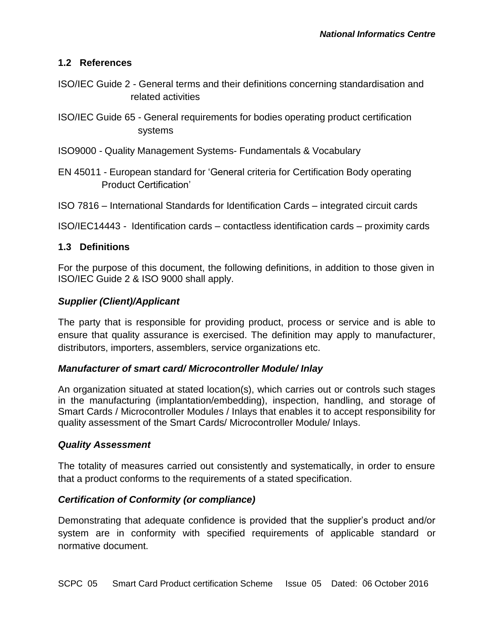## **1.2 References**

- ISO/IEC Guide 2 General terms and their definitions concerning standardisation and related activities
- ISO/IEC Guide 65 General requirements for bodies operating product certification systems
- ISO9000 Quality Management Systems- Fundamentals & Vocabulary
- EN 45011 European standard for 'General criteria for Certification Body operating Product Certification'
- ISO 7816 International Standards for Identification Cards integrated circuit cards
- ISO/IEC14443 Identification cards contactless identification cards proximity cards

## **1.3 Definitions**

For the purpose of this document, the following definitions, in addition to those given in ISO/IEC Guide 2 & ISO 9000 shall apply.

## *Supplier (Client)/Applicant*

The party that is responsible for providing product, process or service and is able to ensure that quality assurance is exercised. The definition may apply to manufacturer, distributors, importers, assemblers, service organizations etc.

## *Manufacturer of smart card/ Microcontroller Module/ Inlay*

An organization situated at stated location(s), which carries out or controls such stages in the manufacturing (implantation/embedding), inspection, handling, and storage of Smart Cards / Microcontroller Modules / Inlays that enables it to accept responsibility for quality assessment of the Smart Cards/ Microcontroller Module/ Inlays.

#### *Quality Assessment*

The totality of measures carried out consistently and systematically, in order to ensure that a product conforms to the requirements of a stated specification.

## *Certification of Conformity (or compliance)*

Demonstrating that adequate confidence is provided that the supplier's product and/or system are in conformity with specified requirements of applicable standard or normative document.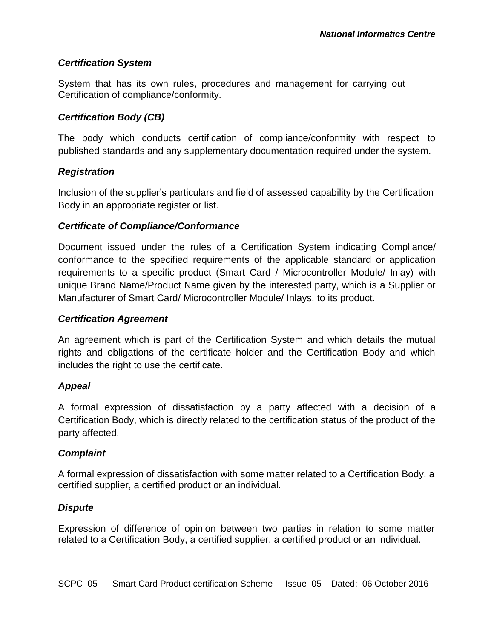## *Certification System*

System that has its own rules, procedures and management for carrying out Certification of compliance/conformity.

# *Certification Body (CB)*

The body which conducts certification of compliance/conformity with respect to published standards and any supplementary documentation required under the system.

## *Registration*

Inclusion of the supplier's particulars and field of assessed capability by the Certification Body in an appropriate register or list.

## *Certificate of Compliance/Conformance*

Document issued under the rules of a Certification System indicating Compliance/ conformance to the specified requirements of the applicable standard or application requirements to a specific product (Smart Card / Microcontroller Module/ Inlay) with unique Brand Name/Product Name given by the interested party, which is a Supplier or Manufacturer of Smart Card/ Microcontroller Module/ Inlays, to its product.

# *Certification Agreement*

An agreement which is part of the Certification System and which details the mutual rights and obligations of the certificate holder and the Certification Body and which includes the right to use the certificate.

## *Appeal*

A formal expression of dissatisfaction by a party affected with a decision of a Certification Body, which is directly related to the certification status of the product of the party affected.

## *Complaint*

A formal expression of dissatisfaction with some matter related to a Certification Body, a certified supplier, a certified product or an individual.

## *Dispute*

Expression of difference of opinion between two parties in relation to some matter related to a Certification Body, a certified supplier, a certified product or an individual.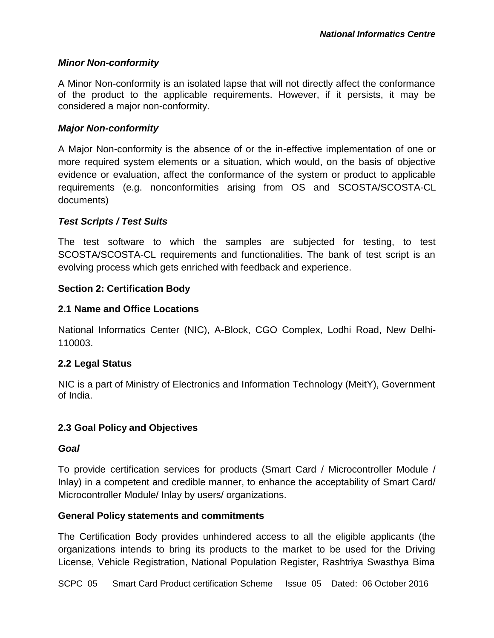#### *Minor Non-conformity*

A Minor Non-conformity is an isolated lapse that will not directly affect the conformance of the product to the applicable requirements. However, if it persists, it may be considered a major non-conformity.

#### *Major Non-conformity*

A Major Non-conformity is the absence of or the in-effective implementation of one or more required system elements or a situation, which would, on the basis of objective evidence or evaluation, affect the conformance of the system or product to applicable requirements (e.g. nonconformities arising from OS and SCOSTA/SCOSTA-CL documents)

#### *Test Scripts / Test Suits*

The test software to which the samples are subjected for testing, to test SCOSTA/SCOSTA-CL requirements and functionalities. The bank of test script is an evolving process which gets enriched with feedback and experience.

#### **Section 2: Certification Body**

#### **2.1 Name and Office Locations**

National Informatics Center (NIC), A-Block, CGO Complex, Lodhi Road, New Delhi-110003.

## **2.2 Legal Status**

NIC is a part of Ministry of Electronics and Information Technology (MeitY), Government of India.

#### **2.3 Goal Policy and Objectives**

#### *Goal*

To provide certification services for products (Smart Card / Microcontroller Module / Inlay) in a competent and credible manner, to enhance the acceptability of Smart Card/ Microcontroller Module/ Inlay by users/ organizations.

#### **General Policy statements and commitments**

The Certification Body provides unhindered access to all the eligible applicants (the organizations intends to bring its products to the market to be used for the Driving License, Vehicle Registration, National Population Register, Rashtriya Swasthya Bima

SCPC 05 Smart Card Product certification Scheme Issue 05 Dated: 06 October 2016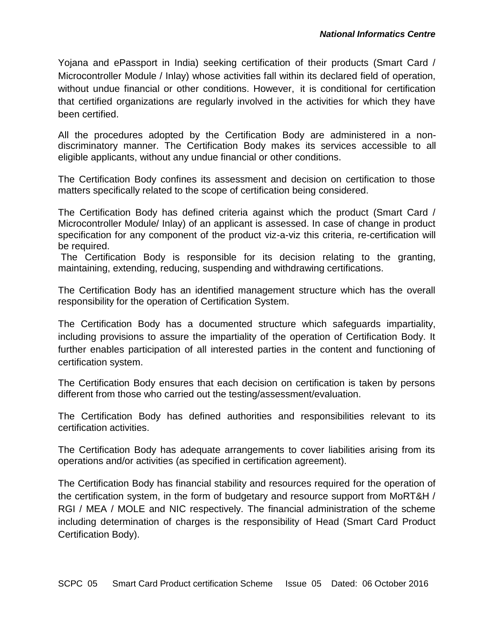Yojana and ePassport in India) seeking certification of their products (Smart Card / Microcontroller Module / Inlay) whose activities fall within its declared field of operation, without undue financial or other conditions. However, it is conditional for certification that certified organizations are regularly involved in the activities for which they have been certified.

All the procedures adopted by the Certification Body are administered in a nondiscriminatory manner. The Certification Body makes its services accessible to all eligible applicants, without any undue financial or other conditions.

The Certification Body confines its assessment and decision on certification to those matters specifically related to the scope of certification being considered.

The Certification Body has defined criteria against which the product (Smart Card / Microcontroller Module/ Inlay) of an applicant is assessed. In case of change in product specification for any component of the product viz-a-viz this criteria, re-certification will be required.

The Certification Body is responsible for its decision relating to the granting, maintaining, extending, reducing, suspending and withdrawing certifications.

The Certification Body has an identified management structure which has the overall responsibility for the operation of Certification System.

The Certification Body has a documented structure which safeguards impartiality, including provisions to assure the impartiality of the operation of Certification Body. It further enables participation of all interested parties in the content and functioning of certification system.

The Certification Body ensures that each decision on certification is taken by persons different from those who carried out the testing/assessment/evaluation.

The Certification Body has defined authorities and responsibilities relevant to its certification activities.

The Certification Body has adequate arrangements to cover liabilities arising from its operations and/or activities (as specified in certification agreement).

The Certification Body has financial stability and resources required for the operation of the certification system, in the form of budgetary and resource support from MoRT&H / RGI / MEA / MOLE and NIC respectively. The financial administration of the scheme including determination of charges is the responsibility of Head (Smart Card Product Certification Body).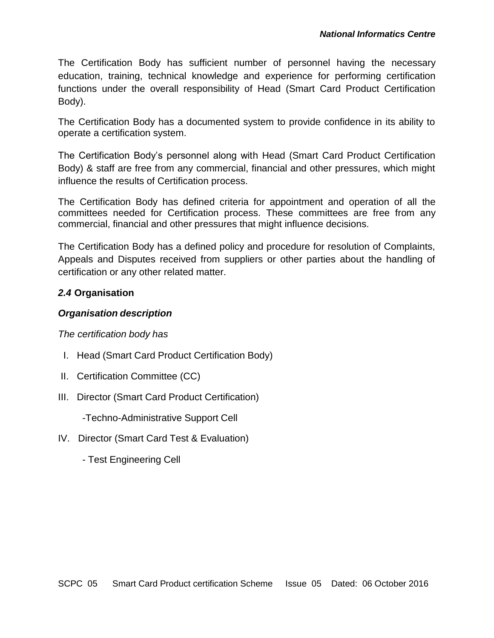The Certification Body has sufficient number of personnel having the necessary education, training, technical knowledge and experience for performing certification functions under the overall responsibility of Head (Smart Card Product Certification Body).

The Certification Body has a documented system to provide confidence in its ability to operate a certification system.

The Certification Body's personnel along with Head (Smart Card Product Certification Body) & staff are free from any commercial, financial and other pressures, which might influence the results of Certification process.

The Certification Body has defined criteria for appointment and operation of all the committees needed for Certification process. These committees are free from any commercial, financial and other pressures that might influence decisions.

The Certification Body has a defined policy and procedure for resolution of Complaints, Appeals and Disputes received from suppliers or other parties about the handling of certification or any other related matter.

# *2.4* **Organisation**

## *Organisation description*

*The certification body has*

- I. Head (Smart Card Product Certification Body)
- II. Certification Committee (CC)
- III. Director (Smart Card Product Certification)

-Techno-Administrative Support Cell

- IV. Director (Smart Card Test & Evaluation)
	- Test Engineering Cell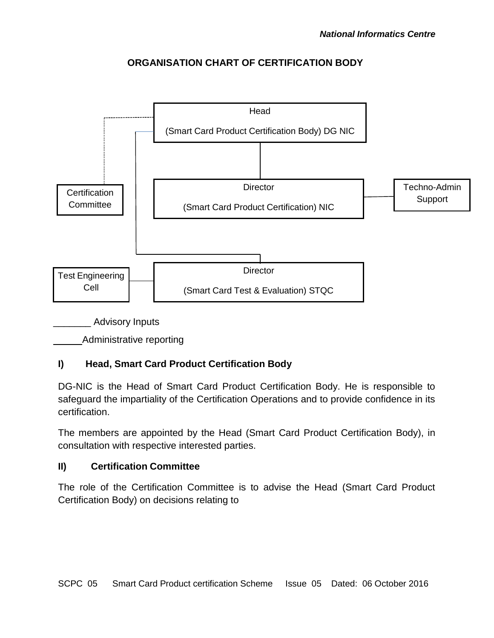# **ORGANISATION CHART OF CERTIFICATION BODY**



Administrative reporting

# **I) Head, Smart Card Product Certification Body**

DG-NIC is the Head of Smart Card Product Certification Body. He is responsible to safeguard the impartiality of the Certification Operations and to provide confidence in its certification.

The members are appointed by the Head (Smart Card Product Certification Body), in consultation with respective interested parties.

## **II) Certification Committee**

The role of the Certification Committee is to advise the Head (Smart Card Product Certification Body) on decisions relating to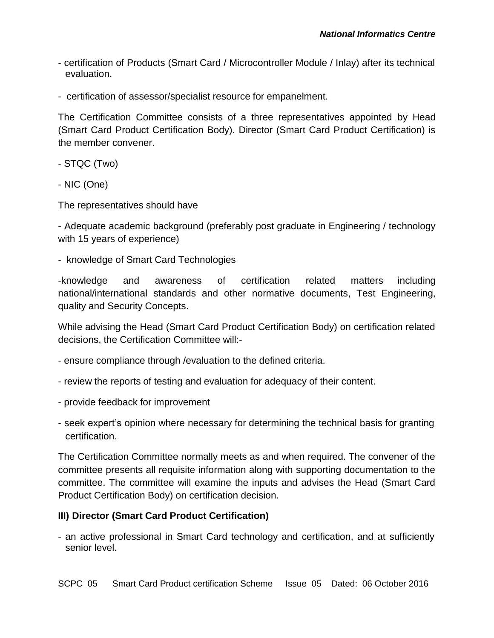- certification of Products (Smart Card / Microcontroller Module / Inlay) after its technical evaluation.
- certification of assessor/specialist resource for empanelment.

The Certification Committee consists of a three representatives appointed by Head (Smart Card Product Certification Body). Director (Smart Card Product Certification) is the member convener.

- STQC (Two)
- NIC (One)

The representatives should have

- Adequate academic background (preferably post graduate in Engineering / technology with 15 years of experience)

- knowledge of Smart Card Technologies

-knowledge and awareness of certification related matters including national/international standards and other normative documents, Test Engineering, quality and Security Concepts.

While advising the Head (Smart Card Product Certification Body) on certification related decisions, the Certification Committee will:-

- ensure compliance through /evaluation to the defined criteria.
- review the reports of testing and evaluation for adequacy of their content.
- provide feedback for improvement
- seek expert's opinion where necessary for determining the technical basis for granting certification.

The Certification Committee normally meets as and when required. The convener of the committee presents all requisite information along with supporting documentation to the committee. The committee will examine the inputs and advises the Head (Smart Card Product Certification Body) on certification decision.

## **III) Director (Smart Card Product Certification)**

- an active professional in Smart Card technology and certification, and at sufficiently senior level.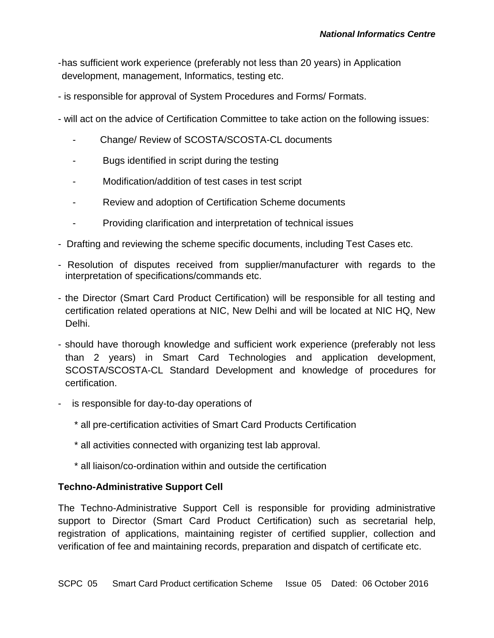- -has sufficient work experience (preferably not less than 20 years) in Application development, management, Informatics, testing etc.
- is responsible for approval of System Procedures and Forms/ Formats.
- will act on the advice of Certification Committee to take action on the following issues:
	- Change/ Review of SCOSTA/SCOSTA-CL documents
	- Bugs identified in script during the testing
	- Modification/addition of test cases in test script
	- Review and adoption of Certification Scheme documents
	- Providing clarification and interpretation of technical issues
- Drafting and reviewing the scheme specific documents, including Test Cases etc.
- Resolution of disputes received from supplier/manufacturer with regards to the interpretation of specifications/commands etc.
- the Director (Smart Card Product Certification) will be responsible for all testing and certification related operations at NIC, New Delhi and will be located at NIC HQ, New Delhi.
- should have thorough knowledge and sufficient work experience (preferably not less than 2 years) in Smart Card Technologies and application development, SCOSTA/SCOSTA-CL Standard Development and knowledge of procedures for certification.
- is responsible for day-to-day operations of
	- \* all pre-certification activities of Smart Card Products Certification
	- \* all activities connected with organizing test lab approval.
	- \* all liaison/co-ordination within and outside the certification

# **Techno-Administrative Support Cell**

The Techno-Administrative Support Cell is responsible for providing administrative support to Director (Smart Card Product Certification) such as secretarial help, registration of applications, maintaining register of certified supplier, collection and verification of fee and maintaining records, preparation and dispatch of certificate etc.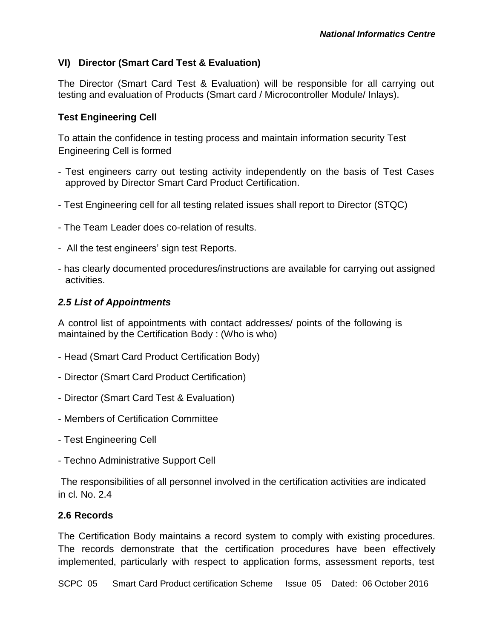# **VI) Director (Smart Card Test & Evaluation)**

The Director (Smart Card Test & Evaluation) will be responsible for all carrying out testing and evaluation of Products (Smart card / Microcontroller Module/ Inlays).

## **Test Engineering Cell**

To attain the confidence in testing process and maintain information security Test Engineering Cell is formed

- Test engineers carry out testing activity independently on the basis of Test Cases approved by Director Smart Card Product Certification.
- Test Engineering cell for all testing related issues shall report to Director (STQC)
- The Team Leader does co-relation of results.
- All the test engineers' sign test Reports.
- has clearly documented procedures/instructions are available for carrying out assigned activities.

## *2.5 List of Appointments*

A control list of appointments with contact addresses/ points of the following is maintained by the Certification Body : (Who is who)

- Head (Smart Card Product Certification Body)
- Director (Smart Card Product Certification)
- Director (Smart Card Test & Evaluation)
- Members of Certification Committee
- Test Engineering Cell
- Techno Administrative Support Cell

The responsibilities of all personnel involved in the certification activities are indicated in cl. No. 2.4

#### **2.6 Records**

The Certification Body maintains a record system to comply with existing procedures. The records demonstrate that the certification procedures have been effectively implemented, particularly with respect to application forms, assessment reports, test

SCPC 05 Smart Card Product certification Scheme Issue 05 Dated: 06 October 2016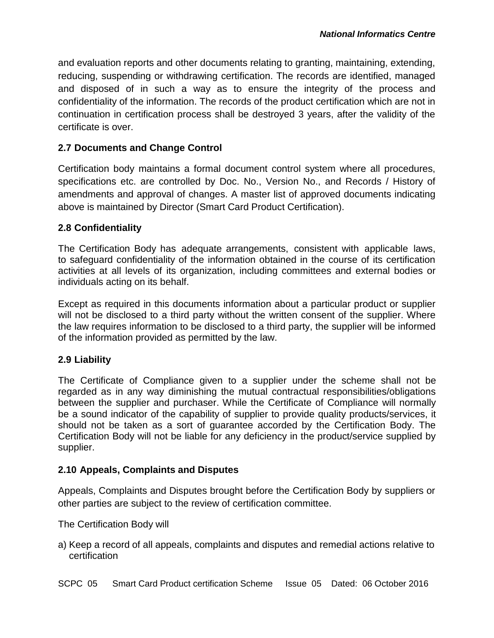and evaluation reports and other documents relating to granting, maintaining, extending, reducing, suspending or withdrawing certification. The records are identified, managed and disposed of in such a way as to ensure the integrity of the process and confidentiality of the information. The records of the product certification which are not in continuation in certification process shall be destroyed 3 years, after the validity of the certificate is over.

#### **2.7 Documents and Change Control**

Certification body maintains a formal document control system where all procedures, specifications etc. are controlled by Doc. No., Version No., and Records / History of amendments and approval of changes. A master list of approved documents indicating above is maintained by Director (Smart Card Product Certification).

#### **2.8 Confidentiality**

The Certification Body has adequate arrangements, consistent with applicable laws, to safeguard confidentiality of the information obtained in the course of its certification activities at all levels of its organization, including committees and external bodies or individuals acting on its behalf.

Except as required in this documents information about a particular product or supplier will not be disclosed to a third party without the written consent of the supplier. Where the law requires information to be disclosed to a third party, the supplier will be informed of the information provided as permitted by the law.

#### **2.9 Liability**

The Certificate of Compliance given to a supplier under the scheme shall not be regarded as in any way diminishing the mutual contractual responsibilities/obligations between the supplier and purchaser. While the Certificate of Compliance will normally be a sound indicator of the capability of supplier to provide quality products/services, it should not be taken as a sort of guarantee accorded by the Certification Body. The Certification Body will not be liable for any deficiency in the product/service supplied by supplier.

## **2.10 Appeals, Complaints and Disputes**

Appeals, Complaints and Disputes brought before the Certification Body by suppliers or other parties are subject to the review of certification committee.

The Certification Body will

a) Keep a record of all appeals, complaints and disputes and remedial actions relative to certification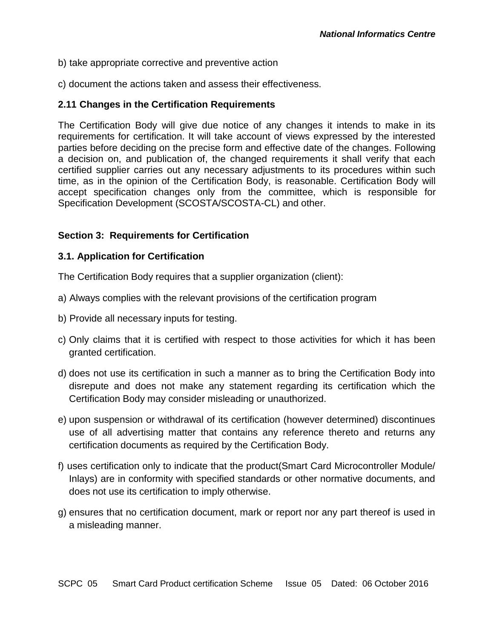- b) take appropriate corrective and preventive action
- c) document the actions taken and assess their effectiveness.

## **2.11 Changes in the Certification Requirements**

The Certification Body will give due notice of any changes it intends to make in its requirements for certification. It will take account of views expressed by the interested parties before deciding on the precise form and effective date of the changes. Following a decision on, and publication of, the changed requirements it shall verify that each certified supplier carries out any necessary adjustments to its procedures within such time, as in the opinion of the Certification Body, is reasonable. Certification Body will accept specification changes only from the committee, which is responsible for Specification Development (SCOSTA/SCOSTA-CL) and other.

## **Section 3: Requirements for Certification**

#### **3.1. Application for Certification**

The Certification Body requires that a supplier organization (client):

- a) Always complies with the relevant provisions of the certification program
- b) Provide all necessary inputs for testing.
- c) Only claims that it is certified with respect to those activities for which it has been granted certification.
- d) does not use its certification in such a manner as to bring the Certification Body into disrepute and does not make any statement regarding its certification which the Certification Body may consider misleading or unauthorized.
- e) upon suspension or withdrawal of its certification (however determined) discontinues use of all advertising matter that contains any reference thereto and returns any certification documents as required by the Certification Body.
- f) uses certification only to indicate that the product(Smart Card Microcontroller Module/ Inlays) are in conformity with specified standards or other normative documents, and does not use its certification to imply otherwise.
- g) ensures that no certification document, mark or report nor any part thereof is used in a misleading manner.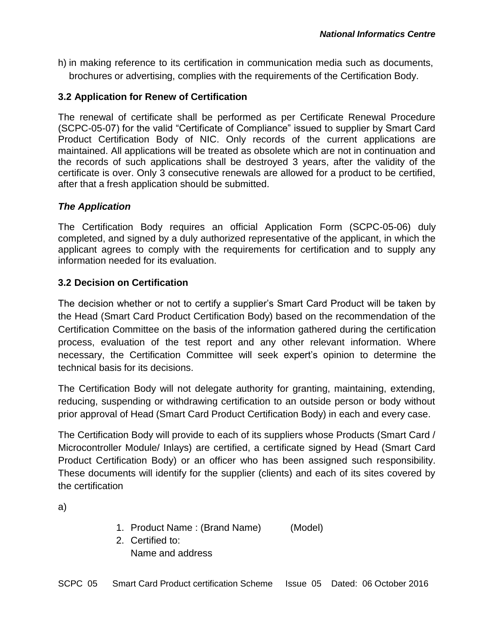h) in making reference to its certification in communication media such as documents, brochures or advertising, complies with the requirements of the Certification Body.

## **3.2 Application for Renew of Certification**

The renewal of certificate shall be performed as per Certificate Renewal Procedure (SCPC-05-07) for the valid "Certificate of Compliance" issued to supplier by Smart Card Product Certification Body of NIC. Only records of the current applications are maintained. All applications will be treated as obsolete which are not in continuation and the records of such applications shall be destroyed 3 years, after the validity of the certificate is over. Only 3 consecutive renewals are allowed for a product to be certified, after that a fresh application should be submitted.

## *The Application*

The Certification Body requires an official Application Form (SCPC-05-06) duly completed, and signed by a duly authorized representative of the applicant, in which the applicant agrees to comply with the requirements for certification and to supply any information needed for its evaluation.

## **3.2 Decision on Certification**

The decision whether or not to certify a supplier's Smart Card Product will be taken by the Head (Smart Card Product Certification Body) based on the recommendation of the Certification Committee on the basis of the information gathered during the certification process, evaluation of the test report and any other relevant information. Where necessary, the Certification Committee will seek expert's opinion to determine the technical basis for its decisions.

The Certification Body will not delegate authority for granting, maintaining, extending, reducing, suspending or withdrawing certification to an outside person or body without prior approval of Head (Smart Card Product Certification Body) in each and every case.

The Certification Body will provide to each of its suppliers whose Products (Smart Card / Microcontroller Module/ Inlays) are certified, a certificate signed by Head (Smart Card Product Certification Body) or an officer who has been assigned such responsibility. These documents will identify for the supplier (clients) and each of its sites covered by the certification

a)

- 1. Product Name : (Brand Name) (Model)
- 2. Certified to: Name and address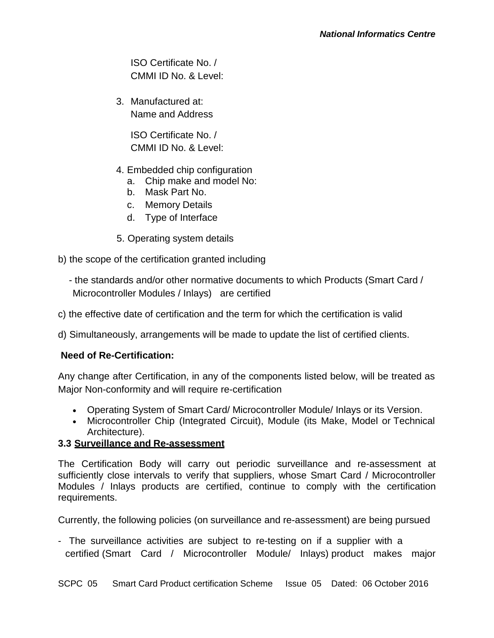ISO Certificate No. / CMMI ID No. & Level:

3. Manufactured at: Name and Address

> ISO Certificate No. / CMMI ID No. & Level:

- 4. Embedded chip configuration
	- a. Chip make and model No:
	- b. Mask Part No.
	- c. Memory Details
	- d. Type of Interface
- 5. Operating system details
- b) the scope of the certification granted including
	- the standards and/or other normative documents to which Products (Smart Card / Microcontroller Modules / Inlays) are certified
- c) the effective date of certification and the term for which the certification is valid

d) Simultaneously, arrangements will be made to update the list of certified clients.

## **Need of Re-Certification:**

Any change after Certification, in any of the components listed below, will be treated as Major Non-conformity and will require re-certification

- Operating System of Smart Card/ Microcontroller Module/ Inlays or its Version.
- Microcontroller Chip (Integrated Circuit), Module (its Make, Model or Technical Architecture).

## **3.3 Surveillance and Re-assessment**

The Certification Body will carry out periodic surveillance and re-assessment at sufficiently close intervals to verify that suppliers, whose Smart Card / Microcontroller Modules / Inlays products are certified, continue to comply with the certification requirements.

Currently, the following policies (on surveillance and re-assessment) are being pursued

- The surveillance activities are subject to re-testing on if a supplier with a certified (Smart Card / Microcontroller Module/ Inlays) product makes major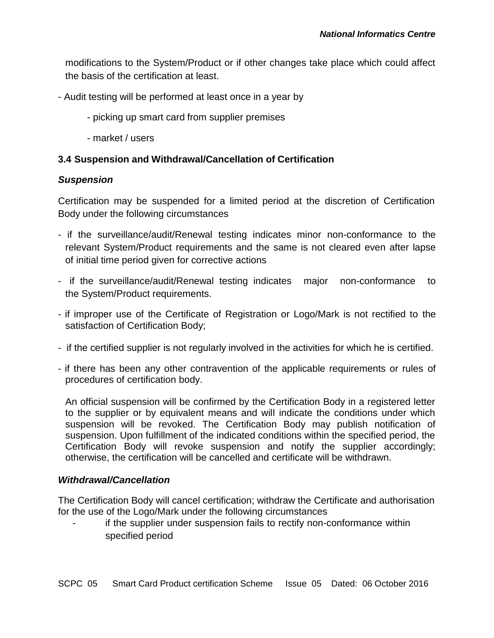modifications to the System/Product or if other changes take place which could affect the basis of the certification at least.

- Audit testing will be performed at least once in a year by
	- picking up smart card from supplier premises
	- market / users

#### **3.4 Suspension and Withdrawal/Cancellation of Certification**

#### *Suspension*

Certification may be suspended for a limited period at the discretion of Certification Body under the following circumstances

- if the surveillance/audit/Renewal testing indicates minor non-conformance to the relevant System/Product requirements and the same is not cleared even after lapse of initial time period given for corrective actions
- if the surveillance/audit/Renewal testing indicates major non-conformance to the System/Product requirements.
- if improper use of the Certificate of Registration or Logo/Mark is not rectified to the satisfaction of Certification Body;
- if the certified supplier is not regularly involved in the activities for which he is certified.
- if there has been any other contravention of the applicable requirements or rules of procedures of certification body.

An official suspension will be confirmed by the Certification Body in a registered letter to the supplier or by equivalent means and will indicate the conditions under which suspension will be revoked. The Certification Body may publish notification of suspension. Upon fulfillment of the indicated conditions within the specified period, the Certification Body will revoke suspension and notify the supplier accordingly; otherwise, the certification will be cancelled and certificate will be withdrawn.

#### *Withdrawal/Cancellation*

The Certification Body will cancel certification; withdraw the Certificate and authorisation for the use of the Logo/Mark under the following circumstances

if the supplier under suspension fails to rectify non-conformance within specified period